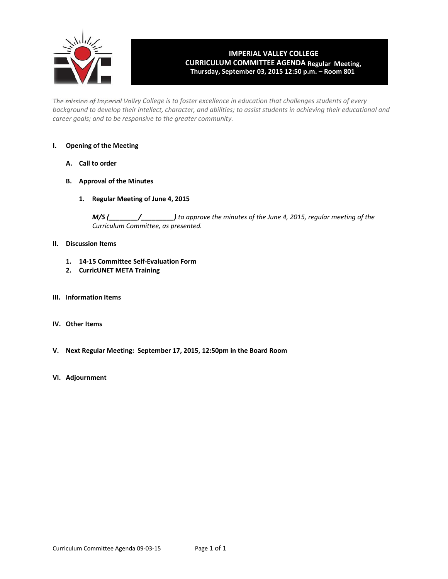

# **IMPERIAL VALLEY COLLEGE CURRICULUM COMMITTEE AGENDA Regular Meeting, Thursday, September 03, 2015 12:50 p.m. – Room 801**

The mission of Imperial Valley College is to foster excellence in education that challenges students of every background to develop their intellect, character, and abilities; to assist students in achieving their educational and *career goals; and to be responsive to the greater community.*

#### **I. Opening of the Meeting**

- **A. Call to order**
- **B. Approval of the Minutes**
	- **1. Regular Meeting of June 4, 2015**

*M/S (\_\_\_\_\_\_\_\_/\_\_\_\_\_\_\_\_\_) to approve the minutes of the June 4, 2015, regular meeting of the Curriculum Committee, as presented.*

### **II. Discussion Items**

- **1. 14‐15 Committee Self‐Evaluation Form**
- **2. CurricUNET META Training**
- **III. Information Items**
- **IV. Other Items**
- **V. Next Regular Meeting: September 17, 2015, 12:50pm in the Board Room**
- **VI. Adjournment**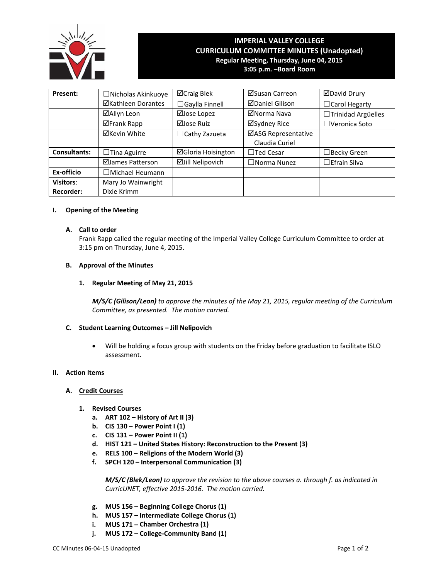

## **IMPERIAL VALLEY COLLEGE CURRICULUM COMMITTEE MINUTES (Unadopted) Regular Meeting, Thursday, June 04, 2015 3:05 p.m. –Board Room**

**Present:** ┃ □Nicholas Akinkuoye ┃ ⊠Craig Blek ┃ ⊠Susan Carreon ┃ ⊠David Drury **ØKathleen Dorantes │ □Gaylla Finnell │ ØDaniel Gilison │ □Carol Hegarty ⊠Allyn Leon** | ⊠Jose Lopez | ⊠Norma Nava | □Trinidad Argüelles ⊠Frank Rapp | ⊠Jose Ruiz | ⊠Sydney Rice | □Veronica Soto  $\boxtimes$ Kevin White  $\Box$ Cathy Zazueta  $\Box$ ASG Representative Claudia Curiel **Consultants:** □ Tina Aguirre **Gloria Hoisington** □ Ted Cesar I □Becky Green  $\Box$ James Patterson  $\Box$ Jill Nelipovich  $\Box$  Norma Nunez  $\Box$ Efrain Silva **Ex‐officio** ☐Michael Heumann **Visitors:** Mary Jo Wainwright **Recorder:** | Dixie Krimm

## **I. Opening of the Meeting**

#### **A. Call to order**

Frank Rapp called the regular meeting of the Imperial Valley College Curriculum Committee to order at 3:15 pm on Thursday, June 4, 2015.

### **B. Approval of the Minutes**

#### **1. Regular Meeting of May 21, 2015**

*M/S/C (Gilison/Leon) to approve the minutes of the May 21, 2015, regular meeting of the Curriculum Committee, as presented. The motion carried.*

## **C. Student Learning Outcomes – Jill Nelipovich**

 Will be holding a focus group with students on the Friday before graduation to facilitate ISLO assessment.

#### **II. Action Items**

#### **A. Credit Courses**

- **1. Revised Courses**
	- **a. ART 102 – History of Art II (3)**
	- **b. CIS 130 – Power Point I (1)**
	- **c. CIS 131 – Power Point II (1)**
	- **d. HIST 121 – United States History: Reconstruction to the Present (3)**
	- **e. RELS 100 – Religions of the Modern World (3)**
	- **f. SPCH 120 – Interpersonal Communication (3)**

*M/S/C (Blek/Leon) to approve the revision to the above courses a. through f. as indicated in CurricUNET, effective 2015‐2016. The motion carried.*

- **g. MUS 156 – Beginning College Chorus (1)**
- **h. MUS 157 – Intermediate College Chorus (1)**
- **i. MUS 171 – Chamber Orchestra (1)**
- **j. MUS 172 – College‐Community Band (1)**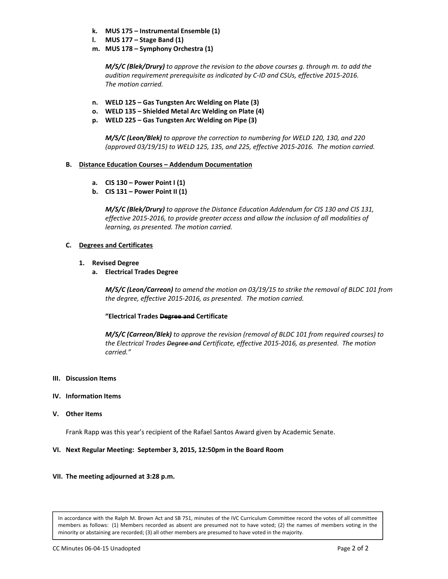- **k. MUS 175 – Instrumental Ensemble (1)**
- **l. MUS 177 – Stage Band (1)**
- **m. MUS 178 – Symphony Orchestra (1)**

*M/S/C (Blek/Drury) to approve the revision to the above courses g. through m. to add the audition requirement prerequisite as indicated by C‐ID and CSUs, effective 2015‐2016. The motion carried.*

- **n. WELD 125 – Gas Tungsten Arc Welding on Plate (3)**
- **o. WELD 135 – Shielded Metal Arc Welding on Plate (4)**
- **p. WELD 225 – Gas Tungsten Arc Welding on Pipe (3)**

*M/S/C (Leon/Blek) to approve the correction to numbering for WELD 120, 130, and 220 (approved 03/19/15) to WELD 125, 135, and 225, effective 2015‐2016. The motion carried.*

## **B. Distance Education Courses – Addendum Documentation**

- **a. CIS 130 – Power Point I (1)**
- **b. CIS 131 – Power Point II (1)**

*M/S/C (Blek/Drury) to approve the Distance Education Addendum for CIS 130 and CIS 131, effective 2015‐2016, to provide greater access and allow the inclusion of all modalities of learning, as presented. The motion carried.*

## **C. Degrees and Certificates**

- **1. Revised Degree**
	- **a. Electrical Trades Degree**

*M/S/C (Leon/Carreon) to amend the motion on 03/19/15 to strike the removal of BLDC 101 from the degree, effective 2015‐2016, as presented. The motion carried.*

#### **"Electrical Trades Degree and Certificate**

*M/S/C (Carreon/Blek) to approve the revision (removal of BLDC 101 from required courses) to the Electrical Trades Degree and Certificate, effective 2015‐2016, as presented. The motion carried."*

#### **III. Discussion Items**

#### **IV. Information Items**

**V. Other Items**

Frank Rapp was this year's recipient of the Rafael Santos Award given by Academic Senate.

## **VI. Next Regular Meeting: September 3, 2015, 12:50pm in the Board Room**

#### **VII. The meeting adjourned at 3:28 p.m.**

In accordance with the Ralph M. Brown Act and SB 751, minutes of the IVC Curriculum Committee record the votes of all committee members as follows: (1) Members recorded as absent are presumed not to have voted; (2) the names of members voting in the minority or abstaining are recorded; (3) all other members are presumed to have voted in the majority.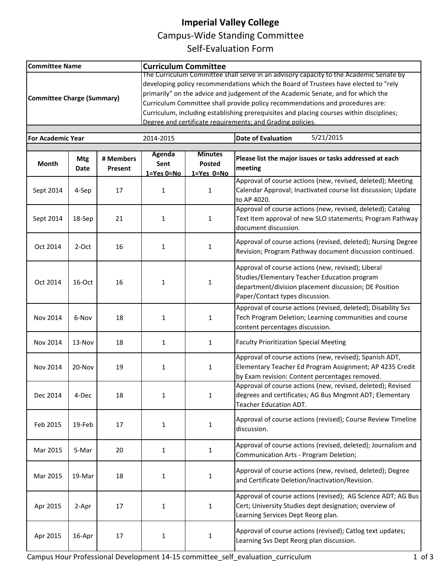# **Imperial Valley College**

Campus‐Wide Standing Committee

Self‐Evaluation Form

| <b>Committee Name</b>             |                    |                      | <b>Curriculum Committee</b>                                                                                                                                                                                                                                                                                                                        |                                                |                                                                                                                                                                                                |  |  |  |  |  |
|-----------------------------------|--------------------|----------------------|----------------------------------------------------------------------------------------------------------------------------------------------------------------------------------------------------------------------------------------------------------------------------------------------------------------------------------------------------|------------------------------------------------|------------------------------------------------------------------------------------------------------------------------------------------------------------------------------------------------|--|--|--|--|--|
| <b>Committee Charge (Summary)</b> |                    |                      | The Curriculum Committee shall serve in an advisory capacity to the Academic Senate by<br>developing policy recommendations which the Board of Trustees have elected to "rely<br>primarily" on the advice and judgement of the Academic Senate, and for which the<br>Curriculum Committee shall provide policy recommendations and procedures are: |                                                |                                                                                                                                                                                                |  |  |  |  |  |
|                                   |                    |                      | Curriculum, including establishing prerequisites and placing courses within disciplines;<br>Degree and certificate requirements: and Grading policies.                                                                                                                                                                                             |                                                |                                                                                                                                                                                                |  |  |  |  |  |
|                                   |                    |                      |                                                                                                                                                                                                                                                                                                                                                    |                                                |                                                                                                                                                                                                |  |  |  |  |  |
| <b>For Academic Year</b>          |                    |                      | 2014-2015                                                                                                                                                                                                                                                                                                                                          |                                                | 5/21/2015<br><b>Date of Evaluation</b>                                                                                                                                                         |  |  |  |  |  |
| Month                             | <b>Mtg</b><br>Date | # Members<br>Present | <b>Agenda</b><br>Sent<br>$1 = Yes$ $0 = No$                                                                                                                                                                                                                                                                                                        | <b>Minutes</b><br>Posted<br>$1 = Yes$ $0 = No$ | Please list the major issues or tasks addressed at each<br>meeting                                                                                                                             |  |  |  |  |  |
| Sept 2014                         | 4-Sep              | 17                   | $\mathbf{1}$                                                                                                                                                                                                                                                                                                                                       | $\mathbf{1}$                                   | Approval of course actions (new, revised, deleted); Meeting<br>Calendar Approval; Inactivated course list discussion; Update<br>to AP 4020.                                                    |  |  |  |  |  |
| Sept 2014                         | 18-Sep             | 21                   | 1                                                                                                                                                                                                                                                                                                                                                  | $\mathbf{1}$                                   | Approval of course actions (new, revised, deleted); Catalog<br>Text Item approval of new SLO statements; Program Pathway<br>document discussion.                                               |  |  |  |  |  |
| Oct 2014                          | 2-Oct              | 16                   | $\mathbf{1}$                                                                                                                                                                                                                                                                                                                                       | $\mathbf{1}$                                   | Approval of course actions (revised, deleted); Nursing Degree<br>Revision; Program Pathway document discussion continued.                                                                      |  |  |  |  |  |
| Oct 2014                          | 16-Oct             | 16                   | 1                                                                                                                                                                                                                                                                                                                                                  | $\mathbf{1}$                                   | Approval of course actions (new, revised); Liberal<br>Studies/Elementary Teacher Education program<br>department/division placement discussion; DE Position<br>Paper/Contact types discussion. |  |  |  |  |  |
| Nov 2014                          | 6-Nov              | 18                   | $\mathbf{1}$                                                                                                                                                                                                                                                                                                                                       | 1                                              | Approval of course actions (revised, deleted); Disability Svs<br>Tech Program Deletion; Learning communities and course<br>content percentages discussion.                                     |  |  |  |  |  |
| Nov 2014                          | 13-Nov             | 18                   | $\mathbf{1}$                                                                                                                                                                                                                                                                                                                                       | 1                                              | <b>Faculty Prioritization Special Meeting</b>                                                                                                                                                  |  |  |  |  |  |
| Nov 2014                          | $20 - Nov$         | 19                   | 1                                                                                                                                                                                                                                                                                                                                                  | 1                                              | Approval of course actions (new, revised); Spanish ADT,<br>Elementary Teacher Ed Program Assignment; AP 4235 Credit<br>by Exam revision: Content percentages removed.                          |  |  |  |  |  |
| Dec 2014                          | 4-Dec              | 18                   | $\mathbf{1}$                                                                                                                                                                                                                                                                                                                                       | $\mathbf{1}$                                   | Approval of course actions (new, revised, deleted); Revised<br>degrees and certificates; AG Bus Mngmnt ADT; Elementary<br>Teacher Education ADT.                                               |  |  |  |  |  |
| Feb 2015                          | 19-Feb             | 17                   | 1                                                                                                                                                                                                                                                                                                                                                  | 1                                              | Approval of course actions (revised); Course Review Timeline<br>discussion.                                                                                                                    |  |  |  |  |  |
| Mar 2015                          | 5-Mar              | 20                   | $\mathbf{1}$                                                                                                                                                                                                                                                                                                                                       | 1                                              | Approval of course actions (revised, deleted); Journalism and<br>Communication Arts - Program Deletion;                                                                                        |  |  |  |  |  |
| Mar 2015                          | 19-Mar             | 18                   | $\mathbf{1}$                                                                                                                                                                                                                                                                                                                                       | $1\,$                                          | Approval of course actions (new, revised, deleted); Degree<br>and Certificate Deletion/Inactivation/Revision.                                                                                  |  |  |  |  |  |
| Apr 2015                          | 2-Apr              | 17                   | $\mathbf{1}$                                                                                                                                                                                                                                                                                                                                       | $\mathbf 1$                                    | Approval of course actions (revised); AG Science ADT; AG Bus<br>Cert; University Studies dept designation; overview of<br>Learning Services Dept Reorg plan.                                   |  |  |  |  |  |
| Apr 2015                          | 16-Apr             | 17                   | $\mathbf{1}$                                                                                                                                                                                                                                                                                                                                       | $\mathbf{1}$                                   | Approval of course actions (revised); Catlog text updates;<br>Learning Svs Dept Reorg plan discussion.                                                                                         |  |  |  |  |  |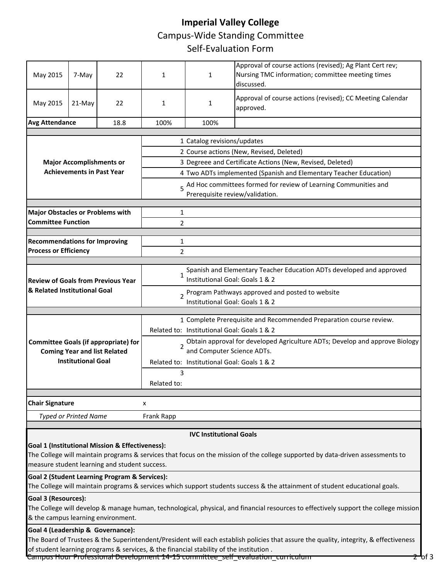# **Imperial Valley College** Campus‐Wide Standing Committee Self‐Evaluation Form

| May 2015                                                             | 7-May                                                                                                                                | 22                                                       | 1                                                                                                                       | $\mathbf{1}$                                                                                         | Approval of course actions (revised); Ag Plant Cert rev;<br>Nursing TMC information; committee meeting times<br>discussed.     |  |  |  |  |  |
|----------------------------------------------------------------------|--------------------------------------------------------------------------------------------------------------------------------------|----------------------------------------------------------|-------------------------------------------------------------------------------------------------------------------------|------------------------------------------------------------------------------------------------------|--------------------------------------------------------------------------------------------------------------------------------|--|--|--|--|--|
| May 2015                                                             | 21-May                                                                                                                               | 22                                                       | 1                                                                                                                       | 1                                                                                                    | Approval of course actions (revised); CC Meeting Calendar<br>approved.                                                         |  |  |  |  |  |
| <b>Avg Attendance</b>                                                |                                                                                                                                      | 18.8                                                     | 100%                                                                                                                    | 100%                                                                                                 |                                                                                                                                |  |  |  |  |  |
|                                                                      |                                                                                                                                      |                                                          |                                                                                                                         |                                                                                                      |                                                                                                                                |  |  |  |  |  |
|                                                                      |                                                                                                                                      |                                                          | 1 Catalog revisions/updates                                                                                             |                                                                                                      |                                                                                                                                |  |  |  |  |  |
|                                                                      |                                                                                                                                      |                                                          | 2 Course actions (New, Revised, Deleted)                                                                                |                                                                                                      |                                                                                                                                |  |  |  |  |  |
|                                                                      | <b>Major Accomplishments or</b><br><b>Achievements in Past Year</b>                                                                  |                                                          | 3 Degreee and Certificate Actions (New, Revised, Deleted)                                                               |                                                                                                      |                                                                                                                                |  |  |  |  |  |
|                                                                      |                                                                                                                                      |                                                          | 4 Two ADTs implemented (Spanish and Elementary Teacher Education)                                                       |                                                                                                      |                                                                                                                                |  |  |  |  |  |
|                                                                      |                                                                                                                                      |                                                          |                                                                                                                         | 5 Ad Hoc committees formed for review of Learning Communities and<br>Prerequisite review/validation. |                                                                                                                                |  |  |  |  |  |
|                                                                      |                                                                                                                                      |                                                          | 1                                                                                                                       |                                                                                                      |                                                                                                                                |  |  |  |  |  |
| <b>Major Obstacles or Problems with</b><br><b>Committee Function</b> |                                                                                                                                      |                                                          | $\overline{2}$                                                                                                          |                                                                                                      |                                                                                                                                |  |  |  |  |  |
|                                                                      |                                                                                                                                      |                                                          |                                                                                                                         |                                                                                                      |                                                                                                                                |  |  |  |  |  |
| <b>Recommendations for Improving</b>                                 |                                                                                                                                      |                                                          | 1                                                                                                                       |                                                                                                      |                                                                                                                                |  |  |  |  |  |
| <b>Process or Efficiency</b>                                         |                                                                                                                                      |                                                          | $\overline{2}$                                                                                                          |                                                                                                      |                                                                                                                                |  |  |  |  |  |
|                                                                      |                                                                                                                                      |                                                          |                                                                                                                         |                                                                                                      |                                                                                                                                |  |  |  |  |  |
|                                                                      |                                                                                                                                      | <b>Review of Goals from Previous Year</b>                | Spanish and Elementary Teacher Education ADTs developed and approved<br>$\mathbf{1}$<br>Institutional Goal: Goals 1 & 2 |                                                                                                      |                                                                                                                                |  |  |  |  |  |
| & Related Institutional Goal                                         |                                                                                                                                      |                                                          | 2 Program Pathways approved and posted to website<br>Institutional Goal: Goals 1 & 2                                    |                                                                                                      |                                                                                                                                |  |  |  |  |  |
|                                                                      |                                                                                                                                      |                                                          |                                                                                                                         |                                                                                                      |                                                                                                                                |  |  |  |  |  |
|                                                                      |                                                                                                                                      |                                                          |                                                                                                                         |                                                                                                      | 1 Complete Prerequisite and Recommended Preparation course review.                                                             |  |  |  |  |  |
|                                                                      |                                                                                                                                      |                                                          |                                                                                                                         | Related to: Institutional Goal: Goals 1 & 2                                                          |                                                                                                                                |  |  |  |  |  |
|                                                                      |                                                                                                                                      | <b>Committee Goals (if appropriate) for</b>              | $\overline{2}$                                                                                                          | and Computer Science ADTs.                                                                           | Obtain approval for developed Agriculture ADTs; Develop and approve Biology                                                    |  |  |  |  |  |
|                                                                      | <b>Institutional Goal</b>                                                                                                            | <b>Coming Year and list Related</b>                      |                                                                                                                         | Related to: Institutional Goal: Goals 1 & 2                                                          |                                                                                                                                |  |  |  |  |  |
|                                                                      |                                                                                                                                      |                                                          | 3                                                                                                                       |                                                                                                      |                                                                                                                                |  |  |  |  |  |
|                                                                      |                                                                                                                                      |                                                          | Related to:                                                                                                             |                                                                                                      |                                                                                                                                |  |  |  |  |  |
| <b>Chair Signature</b>                                               |                                                                                                                                      |                                                          | x                                                                                                                       |                                                                                                      |                                                                                                                                |  |  |  |  |  |
|                                                                      | <b>Typed or Printed Name</b>                                                                                                         |                                                          | Frank Rapp                                                                                                              |                                                                                                      |                                                                                                                                |  |  |  |  |  |
|                                                                      |                                                                                                                                      |                                                          |                                                                                                                         |                                                                                                      |                                                                                                                                |  |  |  |  |  |
|                                                                      |                                                                                                                                      | Goal 1 (Institutional Mission & Effectiveness):          |                                                                                                                         | <b>IVC Institutional Goals</b>                                                                       |                                                                                                                                |  |  |  |  |  |
|                                                                      |                                                                                                                                      |                                                          |                                                                                                                         |                                                                                                      | The College will maintain programs & services that focus on the mission of the college supported by data-driven assessments to |  |  |  |  |  |
|                                                                      |                                                                                                                                      | measure student learning and student success.            |                                                                                                                         |                                                                                                      |                                                                                                                                |  |  |  |  |  |
|                                                                      |                                                                                                                                      | <b>Goal 2 (Student Learning Program &amp; Services):</b> |                                                                                                                         |                                                                                                      |                                                                                                                                |  |  |  |  |  |
|                                                                      |                                                                                                                                      |                                                          |                                                                                                                         |                                                                                                      | The College will maintain programs & services which support students success & the attainment of student educational goals.    |  |  |  |  |  |
|                                                                      | Goal 3 (Resources):                                                                                                                  |                                                          |                                                                                                                         |                                                                                                      |                                                                                                                                |  |  |  |  |  |
|                                                                      | The College will develop & manage human, technological, physical, and financial resources to effectively support the college mission |                                                          |                                                                                                                         |                                                                                                      |                                                                                                                                |  |  |  |  |  |
| & the campus learning environment.                                   |                                                                                                                                      |                                                          |                                                                                                                         |                                                                                                      |                                                                                                                                |  |  |  |  |  |

# **Goal 4 (Leadership & Governance):**

The Board of Trustees & the Superintendent/President will each establish policies that assure the quality, integrity, & effectiveness of student learning programs & services, & the financial stability of the institution .

Campus Hour Professional Development 14-15 committee\_self\_evaluation\_curriculum 2 of 3